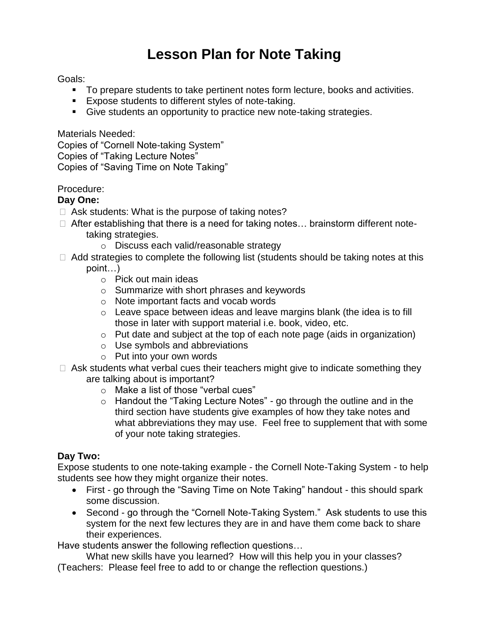# **Lesson Plan for Note Taking**

Goals:

- To prepare students to take pertinent notes form lecture, books and activities.
- **Expose students to different styles of note-taking.**
- Give students an opportunity to practice new note-taking strategies.

Materials Needed:

Copies of "Cornell Note-taking System" Copies of "Taking Lecture Notes" Copies of "Saving Time on Note Taking"

### Procedure:

### **Day One:**

- $\Box$  Ask students: What is the purpose of taking notes?
- □ After establishing that there is a need for taking notes... brainstorm different notetaking strategies.
	- o Discuss each valid/reasonable strategy
- $\Box$  Add strategies to complete the following list (students should be taking notes at this point…)
	- o Pick out main ideas
	- o Summarize with short phrases and keywords
	- o Note important facts and vocab words
	- o Leave space between ideas and leave margins blank (the idea is to fill those in later with support material i.e. book, video, etc.
	- o Put date and subject at the top of each note page (aids in organization)
	- o Use symbols and abbreviations
	- $\circ$  Put into your own words
- $\Box$  Ask students what verbal cues their teachers might give to indicate something they are talking about is important?
	- o Make a list of those "verbal cues"
	- o Handout the "Taking Lecture Notes" go through the outline and in the third section have students give examples of how they take notes and what abbreviations they may use. Feel free to supplement that with some of your note taking strategies.

## **Day Two:**

Expose students to one note-taking example - the Cornell Note-Taking System - to help students see how they might organize their notes.

- First go through the "Saving Time on Note Taking" handout this should spark some discussion.
- Second go through the "Cornell Note-Taking System." Ask students to use this system for the next few lectures they are in and have them come back to share their experiences.

Have students answer the following reflection questions…

What new skills have you learned? How will this help you in your classes? (Teachers: Please feel free to add to or change the reflection questions.)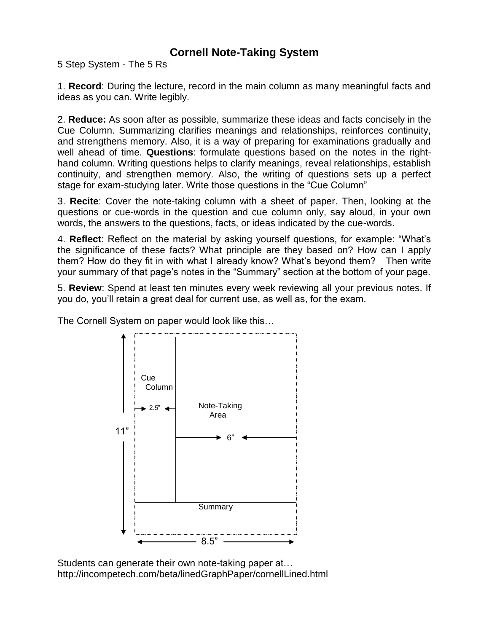## **Cornell Note-Taking System**

5 Step System - The 5 Rs

1. **Record**: During the lecture, record in the main column as many meaningful facts and ideas as you can. Write legibly.

2. **Reduce:** As soon after as possible, summarize these ideas and facts concisely in the Cue Column. Summarizing clarifies meanings and relationships, reinforces continuity, and strengthens memory. Also, it is a way of preparing for examinations gradually and well ahead of time. **Questions**: formulate questions based on the notes in the righthand column. Writing questions helps to clarify meanings, reveal relationships, establish continuity, and strengthen memory. Also, the writing of questions sets up a perfect stage for exam-studying later. Write those questions in the "Cue Column"

3. **Recite**: Cover the note-taking column with a sheet of paper. Then, looking at the questions or cue-words in the question and cue column only, say aloud, in your own words, the answers to the questions, facts, or ideas indicated by the cue-words.

4. **Reflect**: Reflect on the material by asking yourself questions, for example: "What's the significance of these facts? What principle are they based on? How can I apply them? How do they fit in with what I already know? What's beyond them? Then write your summary of that page's notes in the "Summary" section at the bottom of your page.

5. **Review**: Spend at least ten minutes every week reviewing all your previous notes. If you do, you'll retain a great deal for current use, as well as, for the exam.



The Cornell System on paper would look like this…

Students can generate their own note-taking paper at… http://incompetech.com/beta/linedGraphPaper/cornellLined.html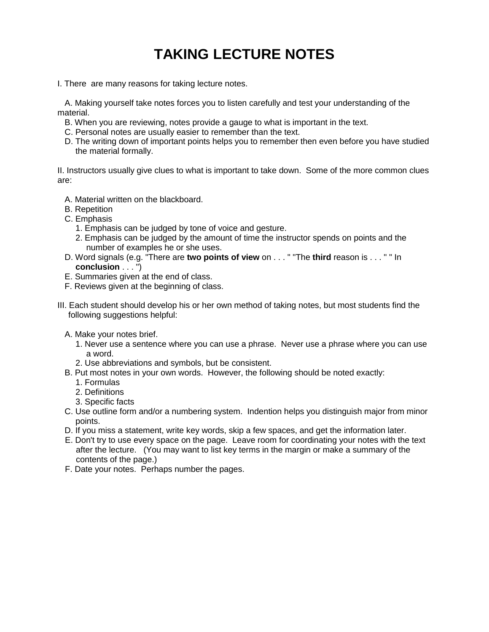# **TAKING LECTURE NOTES**

I. There are many reasons for taking lecture notes.

A. Making yourself take notes forces you to listen carefully and test your understanding of the material.

- B. When you are reviewing, notes provide a gauge to what is important in the text.
- C. Personal notes are usually easier to remember than the text.
- D. The writing down of important points helps you to remember then even before you have studied the material formally.

II. Instructors usually give clues to what is important to take down. Some of the more common clues are:

- A. Material written on the blackboard.
- B. Repetition
- C. Emphasis
	- 1. Emphasis can be judged by tone of voice and gesture.
	- 2. Emphasis can be judged by the amount of time the instructor spends on points and the number of examples he or she uses.
- D. Word signals (e.g. "There are **two points of view** on . . . " "The **third** reason is . . . " " In **conclusion** . . . ")
- E. Summaries given at the end of class.
- F. Reviews given at the beginning of class.
- III. Each student should develop his or her own method of taking notes, but most students find the following suggestions helpful:
	- A. Make your notes brief.
		- 1. Never use a sentence where you can use a phrase. Never use a phrase where you can use a word.
		- 2. Use abbreviations and symbols, but be consistent.
	- B. Put most notes in your own words. However, the following should be noted exactly:
		- 1. Formulas
		- 2. Definitions
		- 3. Specific facts
	- C. Use outline form and/or a numbering system. Indention helps you distinguish major from minor points.
	- D. If you miss a statement, write key words, skip a few spaces, and get the information later.
	- E. Don't try to use every space on the page. Leave room for coordinating your notes with the text after the lecture. (You may want to list key terms in the margin or make a summary of the contents of the page.)
	- F. Date your notes. Perhaps number the pages.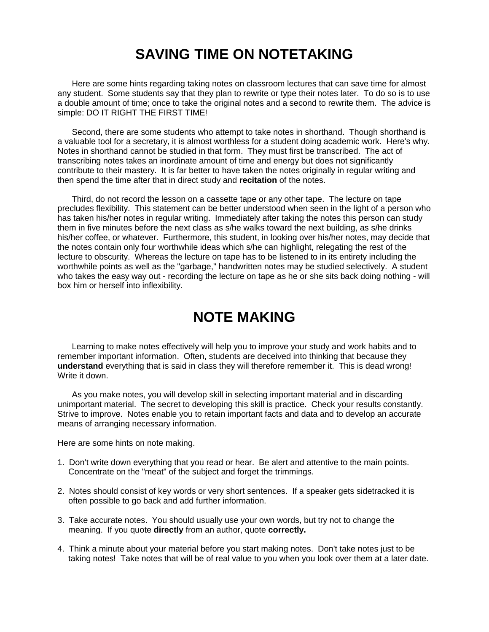# **SAVING TIME ON NOTETAKING**

Here are some hints regarding taking notes on classroom lectures that can save time for almost any student. Some students say that they plan to rewrite or type their notes later. To do so is to use a double amount of time; once to take the original notes and a second to rewrite them. The advice is simple: DO IT RIGHT THE FIRST TIME!

Second, there are some students who attempt to take notes in shorthand. Though shorthand is a valuable tool for a secretary, it is almost worthless for a student doing academic work. Here's why. Notes in shorthand cannot be studied in that form. They must first be transcribed. The act of transcribing notes takes an inordinate amount of time and energy but does not significantly contribute to their mastery. It is far better to have taken the notes originally in regular writing and then spend the time after that in direct study and **recitation** of the notes.

Third, do not record the lesson on a cassette tape or any other tape. The lecture on tape precludes flexibility. This statement can be better understood when seen in the light of a person who has taken his/her notes in regular writing. Immediately after taking the notes this person can study them in five minutes before the next class as s/he walks toward the next building, as s/he drinks his/her coffee, or whatever. Furthermore, this student, in looking over his/her notes, may decide that the notes contain only four worthwhile ideas which s/he can highlight, relegating the rest of the lecture to obscurity. Whereas the lecture on tape has to be listened to in its entirety including the worthwhile points as well as the "garbage," handwritten notes may be studied selectively. A student who takes the easy way out - recording the lecture on tape as he or she sits back doing nothing - will box him or herself into inflexibility.

## **NOTE MAKING**

Learning to make notes effectively will help you to improve your study and work habits and to remember important information. Often, students are deceived into thinking that because they **understand** everything that is said in class they will therefore remember it. This is dead wrong! Write it down.

As you make notes, you will develop skill in selecting important material and in discarding unimportant material. The secret to developing this skill is practice. Check your results constantly. Strive to improve. Notes enable you to retain important facts and data and to develop an accurate means of arranging necessary information.

Here are some hints on note making.

- 1. Don't write down everything that you read or hear. Be alert and attentive to the main points. Concentrate on the "meat" of the subject and forget the trimmings.
- 2. Notes should consist of key words or very short sentences. If a speaker gets sidetracked it is often possible to go back and add further information.
- 3. Take accurate notes. You should usually use your own words, but try not to change the meaning. If you quote **directly** from an author, quote **correctly.**
- 4. Think a minute about your material before you start making notes. Don't take notes just to be taking notes! Take notes that will be of real value to you when you look over them at a later date.